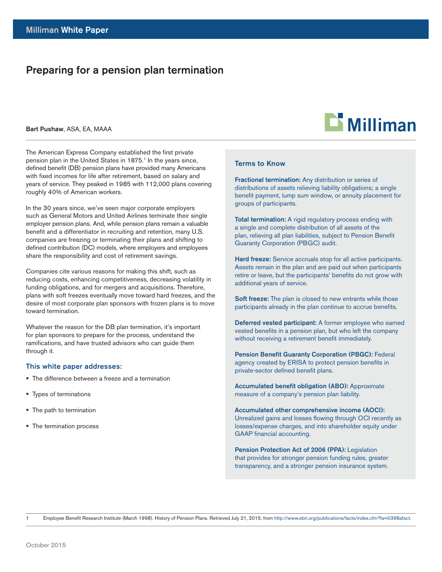# Preparing for a pension plan termination

#### Bart Pushaw, ASA, EA, MAAA

The American Express Company established the first private pension plan in the United States in 1875.<sup>1</sup> In the years since, defined benefit (DB) pension plans have provided many Americans with fixed incomes for life after retirement, based on salary and years of service. They peaked in 1985 with 112,000 plans covering roughly 40% of American workers.

In the 30 years since, we've seen major corporate employers such as General Motors and United Airlines terminate their single employer pension plans. And, while pension plans remain a valuable benefit and a differentiator in recruiting and retention, many U.S. companies are freezing or terminating their plans and shifting to defined contribution (DC) models, where employers and employees share the responsibility and cost of retirement savings.

Companies cite various reasons for making this shift, such as reducing costs, enhancing competitiveness, decreasing volatility in funding obligations, and for mergers and acquisitions. Therefore, plans with soft freezes eventually move toward hard freezes, and the desire of most corporate plan sponsors with frozen plans is to move toward termination.

Whatever the reason for the DB plan termination, it's important for plan sponsors to prepare for the process, understand the ramifications, and have trusted advisors who can guide them through it.

#### This white paper addresses:

- The difference between a freeze and a termination
- Types of terminations
- The path to termination
- The termination process

# $\mathbf{\mathbf{\mathsf{\Xi}}}$  Milliman

#### **Terms to Know Exerit Ium Lorem in Dolor Sit Amet Exerit Ium Lorem in Dolor Sit Amet Exerit Ium Lorem in Dolor Sit Amet Exerit Ium Lorem in Dolor Sit Amet Exerit Ium Lorem in Dolor Sit Amet Exerit Ium Lorem in Dolor Sit** Amet Exerit Ium Lorem ipsum Dolor Sit Amet Exerit Ium Lorem ipsum

Fractional termination: Any distribution or series of Lorem ipsum. distributions of assets relieving liability obligations; a single Bolom payment, tamp can window, or all large placement to.<br>groups of participants. Exercit Ium Lorem in Dolor Sit Amet Exerit Ium Lorem in Dolor Sit Ameterit Ium Lorem in Dolor Sit Ameterit Ium<br>Dolor Sit Ameterit Ium Lorem in Dolor Sit Ameterit Ium Lorem in Dolor Sit Ameterit Ium Lorem in Dolor Sit Amet benefit payment, lump sum window, or annuity placement for

Total termination: A rigid regulatory process ending with is a single and complete distribution of all assets of the Ium Lorem ipsum. Lorem ipsum Dolor Sit Amet Exerit Ium Lorem plan, relieving all plan liabilities, subject to Pension Benefit plan, following an plan habitracy dispute to 1 choich Benome Guaranty Corporation (PBGC) audit.

Hard freeze: Service accruals stop for all active participants. Assets remain in the plan and are paid out when participants retire or leave, but the participants' benefits do not grow with<br>codditional veare of conside Exercit Ium Lorem in Lorem in Lorem in Lorem in Lorem in Lorem in Lorem in Lorem in Lorem in Lorem in Lorem in additional years of service.

Soft freeze: The plan is closed to new entrants while those **DOLL TOLOR THE PRESS TO SECRET AMETER IN THE EXERCIT AMETER IN A SOCIETY OF AMERICAN DOLL TO A SOCIETY AMERICAN** participants already in the plan continue to accrue benefits.

Lorem ipsum Dolor Sit Amet Exerit Ium Lorem ipsum Dolor Sit Amet vested benefits in a pension plan, but who left the company Footou borrom in a pondon plan, but the fort the company without receiving a retirement benefit immediately. Deferred vested participant: A former employee who earned

Pension Benefit Guaranty Corporation (PBGC): Federal Insum Dollor Guaranty Corporation (1 Ducy) Insulation Control agency created by ERISA to protect pension benefits in ipsum Dolor Dolor Sit American Dolor Sit American Dolor Sit American Dolor Sit American Dolor Sit American Sit<br>American Doctor Situate American Dolor Situate Situate Situate Situate Situate Situate Situate Situate Situate private-sector defined benefit plans.<br>
private-sector defined benefit plans.

Accumulated benefit obligation (ABO): Approximate measure of a company's pension plan liability.

Accumulated other comprehensive income (AOCI): Exerit Ium Lorem is the Completion Site Component Correct Complete Exercise Complete Income Correct Income Site Ociden Income Complete Income Site Ociden Income Site Ociden Income Site Ociden Income Site Ociden Income Site In Sanctain Lorem in the secret is the sit american between the losses/expense charges, and into shareholder equity under issues experies enarged, and the enarginger equity and or Ium Lorem ipsum. Lorem ipsum Dolor Sit Amet Exerit Ium Lorem.

Pension Protection Act of 2006 (PPA): Legislation that provides for stronger pension funding rules, greater transparency, and a stronger pension insurance system.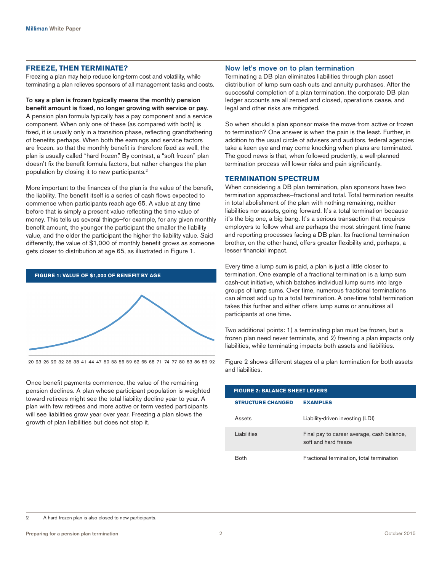#### **FREEZE, THEN TERMINATE?**

Freezing a plan may help reduce long-term cost and volatility, while terminating a plan relieves sponsors of all management tasks and costs.

# To say a plan is frozen typically means the monthly pension

benefit amount is fixed, no longer growing with service or pay. A pension plan formula typically has a pay component and a service component. When only one of these (as compared with both) is fixed, it is usually only in a transition phase, reflecting grandfathering of benefits perhaps. When both the earnings and service factors are frozen, so that the monthly benefit is therefore fixed as well, the plan is usually called "hard frozen." By contrast, a "soft frozen" plan doesn't fix the benefit formula factors, but rather changes the plan population by closing it to new participants.<sup>2</sup>

More important to the finances of the plan is the value of the benefit, the liability. The benefit itself is a series of cash flows expected to commence when participants reach age 65. A value at any time before that is simply a present value reflecting the time value of money. This tells us several things—for example, for any given monthly benefit amount, the younger the participant the smaller the liability value, and the older the participant the higher the liability value. Said differently, the value of \$1,000 of monthly benefit grows as someone gets closer to distribution at age 65, as illustrated in Figure 1.

#### **FIGURE 1: VALUE OF \$1,000 OF BENEFIT BY AGE**



20 23 26 29 32 35 38 41 44 47 50 53 56 59 62 65 68 71 74 77 80 83 86 89 92

Once benefit payments commence, the value of the remaining pension declines. A plan whose participant population is weighted toward retirees might see the total liability decline year to year. A plan with few retirees and more active or term vested participants will see liabilities grow year over year. Freezing a plan slows the growth of plan liabilities but does not stop it.

#### Now let's move on to plan termination

Terminating a DB plan eliminates liabilities through plan asset distribution of lump sum cash outs and annuity purchases. After the successful completion of a plan termination, the corporate DB plan ledger accounts are all zeroed and closed, operations cease, and legal and other risks are mitigated.

So when should a plan sponsor make the move from active or frozen to termination? One answer is when the pain is the least. Further, in addition to the usual circle of advisers and auditors, federal agencies take a keen eye and may come knocking when plans are terminated. The good news is that, when followed prudently, a well-planned termination process will lower risks and pain significantly.

# **TERMINATION SPECTRUM**

When considering a DB plan termination, plan sponsors have two termination approaches—fractional and total. Total termination results in total abolishment of the plan with nothing remaining, neither liabilities nor assets, going forward. It's a total termination because it's the big one, a big bang. It's a serious transaction that requires employers to follow what are perhaps the most stringent time frame and reporting processes facing a DB plan. Its fractional termination brother, on the other hand, offers greater flexibility and, perhaps, a lesser financial impact.

Every time a lump sum is paid, a plan is just a little closer to termination. One example of a fractional termination is a lump sum cash-out initiative, which batches individual lump sums into large groups of lump sums. Over time, numerous fractional terminations can almost add up to a total termination. A one-time total termination takes this further and either offers lump sums or annuitizes all participants at one time.

Two additional points: 1) a terminating plan must be frozen, but a frozen plan need never terminate, and 2) freezing a plan impacts only liabilities, while terminating impacts both assets and liabilities.

Figure 2 shows different stages of a plan termination for both assets and liabilities.

| <b>FIGURE 2: BALANCE SHEET LEVERS</b> |                                                                    |
|---------------------------------------|--------------------------------------------------------------------|
| <b>STRUCTURE CHANGED</b>              | <b>EXAMPLES</b>                                                    |
| Assets                                | Liability-driven investing (LDI)                                   |
| Liabilities                           | Final pay to career average, cash balance,<br>soft and hard freeze |
|                                       | Fractional termination, total termination                          |

2 A hard frozen plan is also closed to new participants.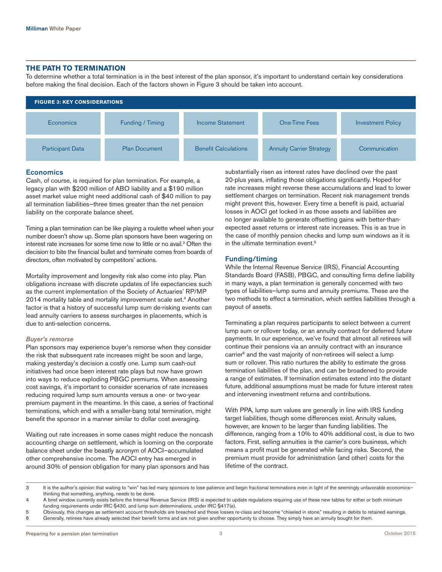#### **THE PATH TO TERMINATION**

To determine whether a total termination is in the best interest of the plan sponsor, it's important to understand certain key considerations before making the final decision. Each of the factors shown in Figure 3 should be taken into account.



## **Economics**

Cash, of course, is required for plan termination. For example, a legacy plan with \$200 million of ABO liability and a \$190 million asset market value might need additional cash of \$40 million to pay all termination liabilities—three times greater than the net pension liability on the corporate balance sheet.

Timing a plan termination can be like playing a roulette wheel when your number doesn't show up. Some plan sponsors have been wagering on interest rate increases for some time now to little or no avail.3 Often the decision to bite the financial bullet and terminate comes from boards of directors, often motivated by competitors' actions.

Mortality improvement and longevity risk also come into play. Plan obligations increase with discrete updates of life expectancies such as the current implementation of the Society of Actuaries' RP/MP 2014 mortality table and mortality improvement scale set.<sup>4</sup> Another factor is that a history of successful lump sum de-risking events can lead annuity carriers to assess surcharges in placements, which is due to anti-selection concerns.

## *Buyer's remorse*

Plan sponsors may experience buyer's remorse when they consider the risk that subsequent rate increases might be soon and large, making yesterday's decision a costly one. Lump sum cash-out initiatives had once been interest rate plays but now have grown into ways to reduce exploding PBGC premiums. When assessing cost savings, it's important to consider scenarios of rate increases reducing required lump sum amounts versus a one- or two-year premium payment in the meantime. In this case, a series of fractional terminations, which end with a smaller-bang total termination, might benefit the sponsor in a manner similar to dollar cost averaging.

Waiting out rate increases in some cases might reduce the noncash accounting charge on settlement, which is looming on the corporate balance sheet under the beastly acronym of AOCI—accumulated other comprehensive income. The AOCI entry has emerged in around 30% of pension obligation for many plan sponsors and has

substantially risen as interest rates have declined over the past 20-plus years, inflating those obligations significantly. Hoped-for rate increases might reverse these accumulations and lead to lower settlement charges on termination. Recent risk management trends might prevent this, however. Every time a benefit is paid, actuarial losses in AOCI get locked in as those assets and liabilities are no longer available to generate offsetting gains with better-thanexpected asset returns or interest rate increases. This is as true in the case of monthly pension checks and lump sum windows as it is in the ultimate termination event.<sup>5</sup>

#### Funding/timing

While the Internal Revenue Service (IRS), Financial Accounting Standards Board (FASB), PBGC, and consulting firms define liability in many ways, a plan termination is generally concerned with two types of liabilities—lump sums and annuity premiums. These are the two methods to effect a termination, which settles liabilities through a payout of assets.

Terminating a plan requires participants to select between a current lump sum or rollover today, or an annuity contract for deferred future payments. In our experience, we've found that almost all retirees will continue their pensions via an annuity contract with an insurance carrier<sup>6</sup> and the vast majority of non-retirees will select a lump sum or rollover. This ratio nurtures the ability to estimate the gross termination liabilities of the plan, and can be broadened to provide a range of estimates. If termination estimates extend into the distant future, additional assumptions must be made for future interest rates and intervening investment returns and contributions.

With PPA, lump sum values are generally in line with IRS funding target liabilities, though some differences exist. Annuity values, however, are known to be larger than funding liabilities. The difference, ranging from a 10% to 40% additional cost, is due to two factors. First, selling annuities is the carrier's core business, which means a profit must be generated while facing risks. Second, the premium must provide for administration (and other) costs for the lifetime of the contract.

3 It is the author's opinion that waiting to "win" has led many sponsors to lose patience and begin fractional terminations even in light of the seemingly unfavorable economics thinking that something, anything, needs to be done.

4 A brief window currently exists before the Internal Revenue Service (IRS) is expected to update regulations requiring use of these new tables for either or both minimum funding requirements under IRC §430, and lump sum determinations, under IRC §417(e).

5 Obviously, this changes as settlement account thresholds are breached and those losses re-class and become "chiseled in stone," resulting in debits to retained earnings. 6 Generally, retirees have already selected their benefit forms and are not given another opportunity to choose. They simply have an annuity bought for them.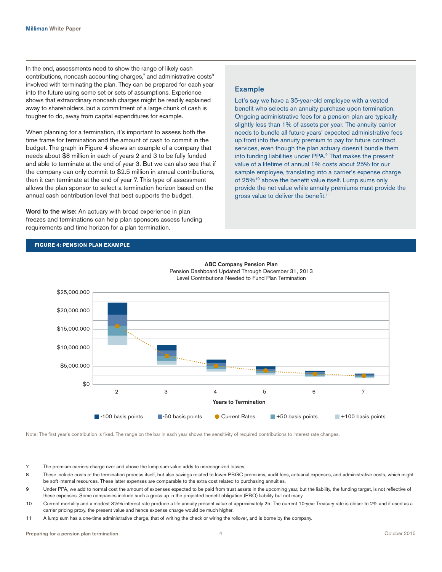In the end, assessments need to show the range of likely cash contributions, noncash accounting charges,<sup>7</sup> and administrative costs<sup>8</sup> involved with terminating the plan. They can be prepared for each year into the future using some set or sets of assumptions. Experience shows that extraordinary noncash charges might be readily explained away to shareholders, but a commitment of a large chunk of cash is tougher to do, away from capital expenditures for example.

When planning for a termination, it's important to assess both the time frame for termination and the amount of cash to commit in the budget. The graph in Figure 4 shows an example of a company that needs about \$8 million in each of years 2 and 3 to be fully funded and able to terminate at the end of year 3. But we can also see that if the company can only commit to \$2.5 million in annual contributions, then it can terminate at the end of year 7. This type of assessment allows the plan sponsor to select a termination horizon based on the annual cash contribution level that best supports the budget.

Word to the wise: An actuary with broad experience in plan freezes and terminations can help plan sponsors assess funding requirements and time horizon for a plan termination.

# Example

Let's say we have a 35-year-old employee with a vested benefit who selects an annuity purchase upon termination. Ongoing administrative fees for a pension plan are typically slightly less than 1% of assets per year. The annuity carrier needs to bundle all future years' expected administrative fees up front into the annuity premium to pay for future contract services, even though the plan actuary doesn't bundle them into funding liabilities under PPA.<sup>9</sup> That makes the present value of a lifetime of annual 1% costs about 25% for our sample employee, translating into a carrier's expense charge of 25%<sup>10</sup> above the benefit value itself. Lump sums only provide the net value while annuity premiums must provide the gross value to deliver the benefit.<sup>11</sup>

# **FIGURE 4: PENSION PLAN EXAMPLE**



ABC Company Pension Plan Pension Dashboard Updated Through December 31, 2013 Level Contributions Needed to Fund Plan Termination

Note: The first year's contribution is fixed. The range on the bar in each year shows the sensitivity of required contributions to interest rate changes.

7 The premium carriers charge over and above the lump sum value adds to unrecognized losses.

8 These include costs of the termination process itself, but also savings related to lower PBGC premiums, audit fees, actuarial expenses, and administrative costs, which might be soft internal resources. These latter expenses are comparable to the extra cost related to purchasing annuities.

9 Under PPA, we add to normal cost the amount of expenses expected to be paid from trust assets in the upcoming year, but the liability, the funding target, is not reflective of these expenses. Some companies include such a gross up in the projected benefit obligation (PBO) liability but not many.

10 Current mortality and a modest 3¼% interest rate produce a life annuity present value of approximately 25. The current 10-year Treasury rate is closer to 2% and if used as a carrier pricing proxy, the present value and hence expense charge would be much higher.

11 A lump sum has a one-time administrative charge, that of writing the check or wiring the rollover, and is borne by the company.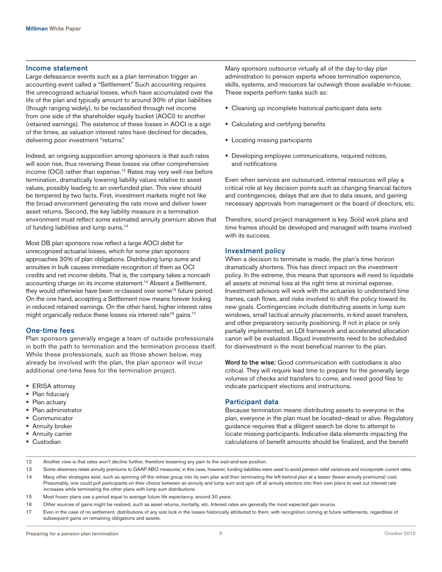#### Income statement

Large defeasance events such as a plan termination trigger an accounting event called a "Settlement." Such accounting requires the unrecognized actuarial losses, which have accumulated over the life of the plan and typically amount to around 30% of plan liabilities (though ranging widely), to be reclassified through net income from one side of the shareholder equity bucket (AOCI) to another (retained earnings). The existence of these losses in AOCI is a sign of the times, as valuation interest rates have declined for decades, delivering poor investment "returns."

Indeed, an ongoing supposition among sponsors is that such rates will soon rise, thus reversing these losses via other comprehensive income (OCI) rather than expense.<sup>12</sup> Rates may very well rise before termination, dramatically lowering liability values relative to asset values, possibly leading to an overfunded plan. This view should be tempered by two facts. First, investment markets might not like the broad environment generating the rate move and deliver lower asset returns. Second, the key liability measure in a termination environment must reflect some estimated annuity premium above that of funding liabilities and lump sums.<sup>13</sup>

Most DB plan sponsors now reflect a large AOCI debit for unrecognized actuarial losses, which for some plan sponsors approaches 30% of plan obligations. Distributing lump sums and annuities in bulk causes immediate recognition of them as OCI credits and net income debits. That is, the company takes a noncash accounting charge on its income statement.14 Absent a Settlement, they would otherwise have been re-classed over some<sup>15</sup> future period. On the one hand, accepting a Settlement now means forever locking in reduced retained earnings. On the other hand, higher interest rates might organically reduce these losses via interest rate<sup>16</sup> gains.<sup>17</sup>

#### One-time fees

Plan sponsors generally engage a team of outside professionals in both the path to termination and the termination process itself. While these professionals, such as those shown below, may already be involved with the plan, the plan sponsor will incur additional one-time fees for the termination project.

- ERISA attorney
- Plan fiduciary
- Plan actuary
- Plan administrator
- Communicator
- Annuity broker
- **Annuity carrier**
- Custodian

Many sponsors outsource virtually all of the day-to-day plan administration to pension experts whose termination experience, skills, systems, and resources far outweigh those available in-house. These experts perform tasks such as:

- Cleaning up incomplete historical participant data sets
- Calculating and certifying benefits
- Locating missing participants
- Developing employee communications, required notices, and notifications

Even when services are outsourced, internal resources will play a critical role at key decision points such as changing financial factors and contingencies, delays that are due to data issues, and gaining necessary approvals from management or the board of directors, etc.

Therefore, sound project management is key. Solid work plans and time frames should be developed and managed with teams involved with its success.

#### Investment policy

When a decision to terminate is made, the plan's time horizon dramatically shortens. This has direct impact on the investment policy. In the extreme, this means that sponsors will need to liquidate all assets at minimal loss at the right time at minimal expense. Investment advisors will work with the actuaries to understand time frames, cash flows, and risks involved to shift the policy toward its new goals. Contingencies include distributing assets in lump sum windows, small tactical annuity placements, in-kind asset transfers, and other preparatory security positioning. If not in place or only partially implemented, an LDI framework and accelerated allocation canon will be evaluated. Illiquid investments need to be scheduled for disinvestment in the most beneficial manner to the plan.

Word to the wise: Good communication with custodians is also critical. They will require lead time to prepare for the generally large volumes of checks and transfers to come, and need good files to indicate participant elections and instructions.

#### Participant data

Because termination means distributing assets to everyone in the plan, everyone in the plan must be located—dead or alive. Regulatory guidance requires that a diligent search be done to attempt to locate missing participants. Indicative data elements impacting the calculations of benefit amounts should be finalized, and the benefit

- 12 Another view is that rates won't decline further, therefore lessening any pain to the wait-and-see position.
- 13 Some observers relate annuity premiums to GAAP ABO measures; in this case, however, funding liabilities were used to avoid pension relief variances and incorporate current rates. 14 Many other strategies exist, such as spinning off the retiree group into its own plan and then terminating the left-behind plan at a lesser (fewer annuity premiums) cost. Presumably, one could poll participants on their choice between an annuity and lump sum and spin off all annuity electors into their own plans to wait out interest rate increases while terminating the other plans with lump sum distributions.
- 15 Most frozen plans use a period equal to average future life expectancy, around 30 years.
- 16 Other sources of gains might be realized, such as asset returns, mortality, etc. Interest rates are generally the most expected gain source.
- 17 Even in the case of no settlement, distributions of any size lock in the losses historically attributed to them, with recognition coming at future settlements, regardless of subsequent gains on remaining obligations and assets.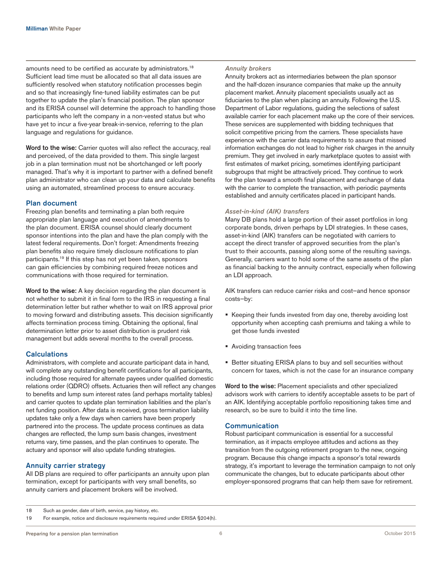amounts need to be certified as accurate by administrators.<sup>18</sup> Sufficient lead time must be allocated so that all data issues are sufficiently resolved when statutory notification processes begin and so that increasingly fine-tuned liability estimates can be put together to update the plan's financial position. The plan sponsor and its ERISA counsel will determine the approach to handling those participants who left the company in a non-vested status but who have yet to incur a five-year break-in-service, referring to the plan language and regulations for guidance.

Word to the wise: Carrier quotes will also reflect the accuracy, real and perceived, of the data provided to them. This single largest job in a plan termination must not be shortchanged or left poorly managed. That's why it is important to partner with a defined benefit plan administrator who can clean up your data and calculate benefits using an automated, streamlined process to ensure accuracy.

#### Plan document

Freezing plan benefits and terminating a plan both require appropriate plan language and execution of amendments to the plan document. ERISA counsel should clearly document sponsor intentions into the plan and have the plan comply with the latest federal requirements. Don't forget: Amendments freezing plan benefits also require timely disclosure notifications to plan participants.19 If this step has not yet been taken, sponsors can gain efficiencies by combining required freeze notices and communications with those required for termination.

Word to the wise: A key decision regarding the plan document is not whether to submit it in final form to the IRS in requesting a final determination letter but rather whether to wait on IRS approval prior to moving forward and distributing assets. This decision significantly affects termination process timing. Obtaining the optional, final determination letter prior to asset distribution is prudent risk management but adds several months to the overall process.

## **Calculations**

Administrators, with complete and accurate participant data in hand, will complete any outstanding benefit certifications for all participants, including those required for alternate payees under qualified domestic relations order (QDRO) offsets. Actuaries then will reflect any changes to benefits and lump sum interest rates (and perhaps mortality tables) and carrier quotes to update plan termination liabilities and the plan's net funding position. After data is received, gross termination liability updates take only a few days when carriers have been properly partnered into the process. The update process continues as data changes are reflected, the lump sum basis changes, investment returns vary, time passes, and the plan continues to operate. The actuary and sponsor will also update funding strategies.

#### Annuity carrier strategy

All DB plans are required to offer participants an annuity upon plan termination, except for participants with very small benefits, so annuity carriers and placement brokers will be involved.

#### *Annuity brokers*

Annuity brokers act as intermediaries between the plan sponsor and the half-dozen insurance companies that make up the annuity placement market. Annuity placement specialists usually act as fiduciaries to the plan when placing an annuity. Following the U.S. Department of Labor regulations, guiding the selections of safest available carrier for each placement make up the core of their services. These services are supplemented with bidding techniques that solicit competitive pricing from the carriers. These specialists have experience with the carrier data requirements to assure that missed information exchanges do not lead to higher risk charges in the annuity premium. They get involved in early marketplace quotes to assist with first estimates of market pricing, sometimes identifying participant subgroups that might be attractively priced. They continue to work for the plan toward a smooth final placement and exchange of data with the carrier to complete the transaction, with periodic payments established and annuity certificates placed in participant hands.

#### *Asset-in-kind (AIK) transfers*

Many DB plans hold a large portion of their asset portfolios in long corporate bonds, driven perhaps by LDI strategies. In these cases, asset-in-kind (AIK) transfers can be negotiated with carriers to accept the direct transfer of approved securities from the plan's trust to their accounts, passing along some of the resulting savings. Generally, carriers want to hold some of the same assets of the plan as financial backing to the annuity contract, especially when following an LDI approach.

AIK transfers can reduce carrier risks and cost—and hence sponsor costs—by:

- Keeping their funds invested from day one, thereby avoiding lost opportunity when accepting cash premiums and taking a while to get those funds invested
- Avoiding transaction fees
- Better situating ERISA plans to buy and sell securities without concern for taxes, which is not the case for an insurance company

Word to the wise: Placement specialists and other specialized advisors work with carriers to identify acceptable assets to be part of an AIK. Identifying acceptable portfolio repositioning takes time and research, so be sure to build it into the time line.

# Communication

Robust participant communication is essential for a successful termination, as it impacts employee attitudes and actions as they transition from the outgoing retirement program to the new, ongoing program. Because this change impacts a sponsor's total rewards strategy, it's important to leverage the termination campaign to not only communicate the changes, but to educate participants about other employer-sponsored programs that can help them save for retirement.

<sup>18</sup> Such as gender, date of birth, service, pay history, etc.

<sup>19</sup> For example, notice and disclosure requirements required under ERISA §204(h).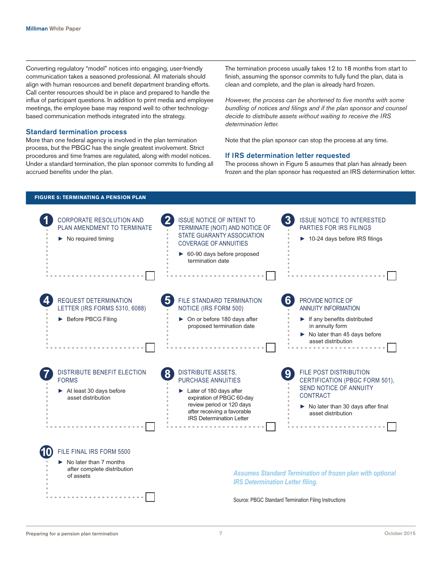Converting regulatory "model" notices into engaging, user-friendly communication takes a seasoned professional. All materials should align with human resources and benefit department branding efforts. Call center resources should be in place and prepared to handle the influx of participant questions. In addition to print media and employee meetings, the employee base may respond well to other technologybased communication methods integrated into the strategy.

#### Standard termination process

More than one federal agency is involved in the plan termination process, but the PBGC has the single greatest involvement. Strict procedures and time frames are regulated, along with model notices. Under a standard termination, the plan sponsor commits to funding all accrued benefits under the plan.

The termination process usually takes 12 to 18 months from start to finish, assuming the sponsor commits to fully fund the plan, data is clean and complete, and the plan is already hard frozen.

*However, the process can be shortened to five months with some bundling of notices and filings and if the plan sponsor and counsel decide to distribute assets without waiting to receive the IRS determination letter.*

Note that the plan sponsor can stop the process at any time.

## If IRS determination letter requested

The process shown in Figure 5 assumes that plan has already been frozen and the plan sponsor has requested an IRS determination letter.

# **FIGURE 5: TERMINATING A PENSION PLAN**